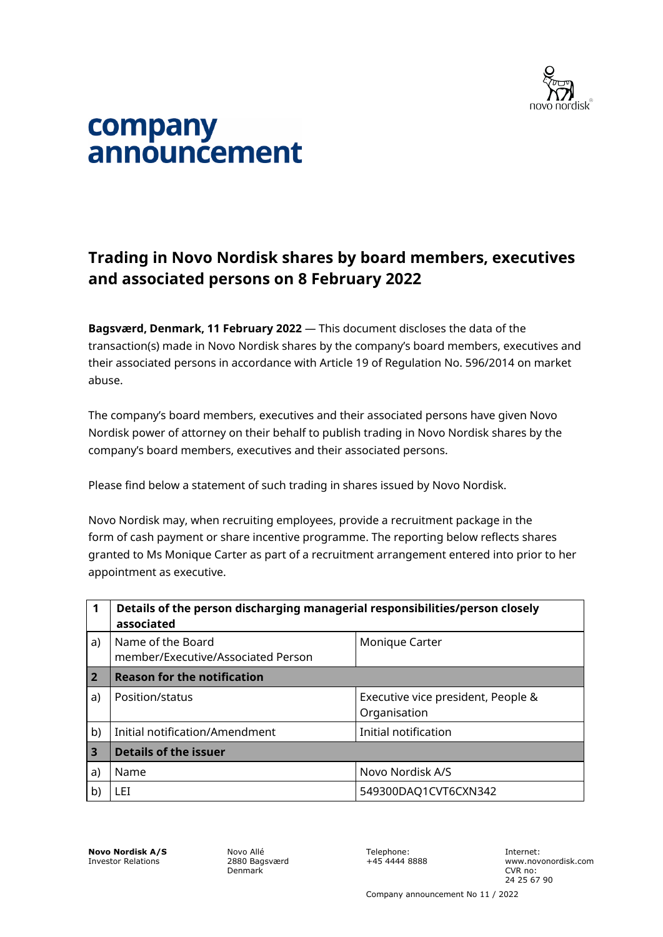

# company announcement

# **Trading in Novo Nordisk shares by board members, executives and associated persons on 8 February 2022**

**Bagsværd, Denmark, 11 February 2022** — This document discloses the data of the transaction(s) made in Novo Nordisk shares by the company's board members, executives and their associated persons in accordance with Article 19 of Regulation No. 596/2014 on market abuse.

The company's board members, executives and their associated persons have given Novo Nordisk power of attorney on their behalf to publish trading in Novo Nordisk shares by the company's board members, executives and their associated persons.

Please find below a statement of such trading in shares issued by Novo Nordisk.

Novo Nordisk may, when recruiting employees, provide a recruitment package in the form of cash payment or share incentive programme. The reporting below reflects shares granted to Ms Monique Carter as part of a recruitment arrangement entered into prior to her appointment as executive.

| 1              | Details of the person discharging managerial responsibilities/person closely<br>associated |                                                    |  |
|----------------|--------------------------------------------------------------------------------------------|----------------------------------------------------|--|
| a)             | Name of the Board<br>member/Executive/Associated Person                                    | Monique Carter                                     |  |
| $\overline{2}$ | <b>Reason for the notification</b>                                                         |                                                    |  |
| a)             | Position/status                                                                            | Executive vice president, People &<br>Organisation |  |
| b)             | Initial notification/Amendment                                                             | Initial notification                               |  |
| 3              | <b>Details of the issuer</b>                                                               |                                                    |  |
| a)             | Name                                                                                       | Novo Nordisk A/S                                   |  |
| b)             | LET                                                                                        | 549300DAQ1CVT6CXN342                               |  |

**Novo Nordisk A/S** Investor Relations

Novo Allé 2880 Bagsværd Denmark

Telephone: +45 4444 8888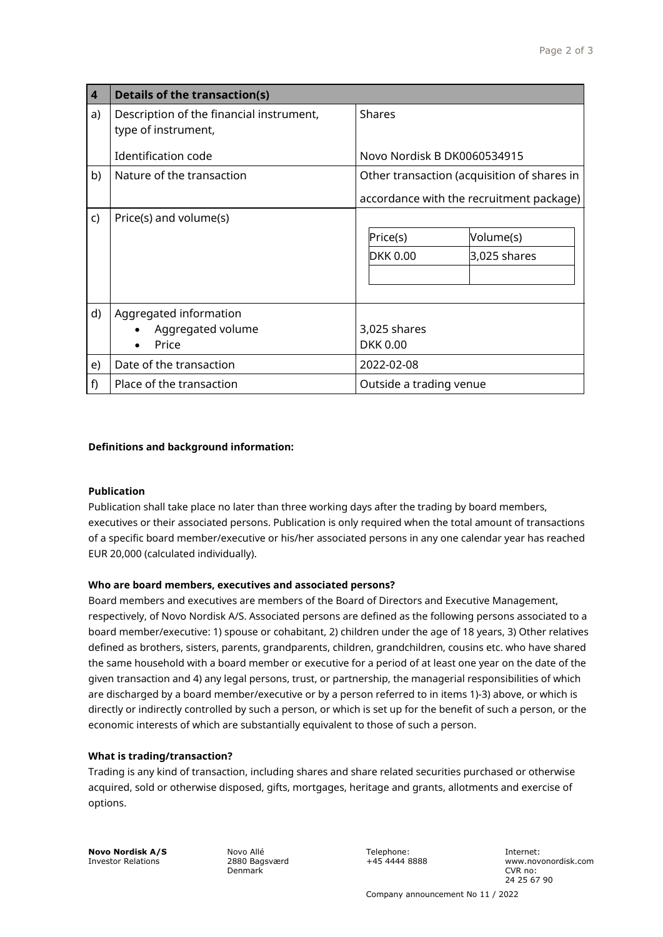| $\overline{4}$ | <b>Details of the transaction(s)</b>                            |                                             |  |
|----------------|-----------------------------------------------------------------|---------------------------------------------|--|
| a)             | Description of the financial instrument,<br>type of instrument, | <b>Shares</b>                               |  |
|                | Identification code                                             | Novo Nordisk B DK0060534915                 |  |
| b)             | Nature of the transaction                                       | Other transaction (acquisition of shares in |  |
|                |                                                                 | accordance with the recruitment package)    |  |
| C)             | Price(s) and volume(s)                                          |                                             |  |
|                |                                                                 | Price(s)<br>Volume(s)                       |  |
|                |                                                                 | <b>DKK 0.00</b><br>$3,025$ shares           |  |
|                |                                                                 |                                             |  |
|                |                                                                 |                                             |  |
| d)             | Aggregated information<br>Aggregated volume<br>Price            | 3,025 shares<br><b>DKK 0.00</b>             |  |
| e)             | Date of the transaction                                         | 2022-02-08                                  |  |
| f)             | Place of the transaction                                        | Outside a trading venue                     |  |

# **Definitions and background information:**

# **Publication**

Publication shall take place no later than three working days after the trading by board members, executives or their associated persons. Publication is only required when the total amount of transactions of a specific board member/executive or his/her associated persons in any one calendar year has reached EUR 20,000 (calculated individually).

# **Who are board members, executives and associated persons?**

Board members and executives are members of the Board of Directors and Executive Management, respectively, of Novo Nordisk A/S. Associated persons are defined as the following persons associated to a board member/executive: 1) spouse or cohabitant, 2) children under the age of 18 years, 3) Other relatives defined as brothers, sisters, parents, grandparents, children, grandchildren, cousins etc. who have shared the same household with a board member or executive for a period of at least one year on the date of the given transaction and 4) any legal persons, trust, or partnership, the managerial responsibilities of which are discharged by a board member/executive or by a person referred to in items 1)-3) above, or which is directly or indirectly controlled by such a person, or which is set up for the benefit of such a person, or the economic interests of which are substantially equivalent to those of such a person.

# **What is trading/transaction?**

Trading is any kind of transaction, including shares and share related securities purchased or otherwise acquired, sold or otherwise disposed, gifts, mortgages, heritage and grants, allotments and exercise of options.

**Novo Nordisk A/S** Investor Relations

Novo Allé 2880 Bagsværd Denmark

Telephone: +45 4444 8888 Internet: www.novonordisk.com CVR no: 24 25 67 90

Company announcement No 11 / 2022